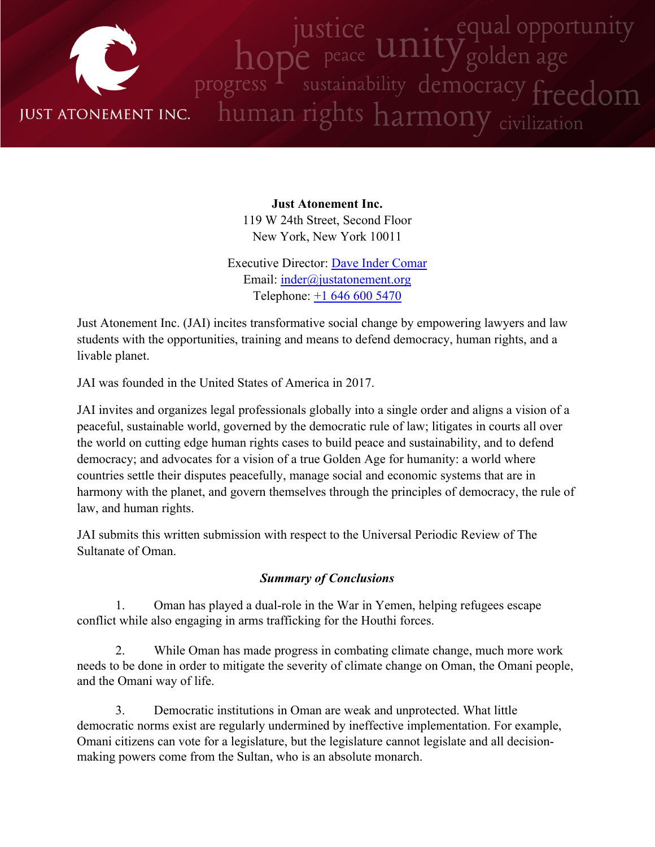

**Just Atonement Inc.** 119 W 24th Street, Second Floor New York, New York 10011

Executive Director: Dave Inder [Comar](http://www.justatonement.org/dave-inder-comar) Email: [inder@justatonement.org](mailto:inder@justatonement.org) Telephone: +1 646 600 [5470](tel:+16466005470)

Just Atonement Inc. (JAI) incites transformative social change by empowering lawyers and law students with the opportunities, training and means to defend democracy, human rights, and <sup>a</sup> livable planet.

JAI was founded in the United States of America in 2017.

JAI invites and organizes legal professionals globally into <sup>a</sup> single order and aligns <sup>a</sup> vision of <sup>a</sup> peaceful, sustainable world, governed by the democratic rule of law; litigates in courts all over the world on cutting edge human rights cases to build peace and sustainability, and to defend democracy; and advocates for <sup>a</sup> vision of <sup>a</sup> true Golden Age for humanity: <sup>a</sup> world where countries settle their disputes peacefully, manage social and economic systems that are in harmony with the planet, and govern themselves through the principles of democracy, the rule of law, and human rights.

JAI submits this written submission with respec<sup>t</sup> to the Universal Periodic Review of The Sultanate of Oman.

## *Summary of Conclusions*

1. Oman has played <sup>a</sup> dual-role in the War in Yemen, helping refugees escape conflict while also engaging in arms trafficking for the Houthi forces.

2. While Oman has made progress in combating climate change, much more work needs to be done in order to mitigate the severity of climate change on Oman, the Omani people, and the Omani way of life.

3. Democratic institutions in Oman are weak and unprotected. What little democratic norms exist are regularly undermined by ineffective implementation. For example, Omani citizens can vote for <sup>a</sup> legislature, but the legislature cannot legislate and all decisionmaking powers come from the Sultan, who is an absolute monarch.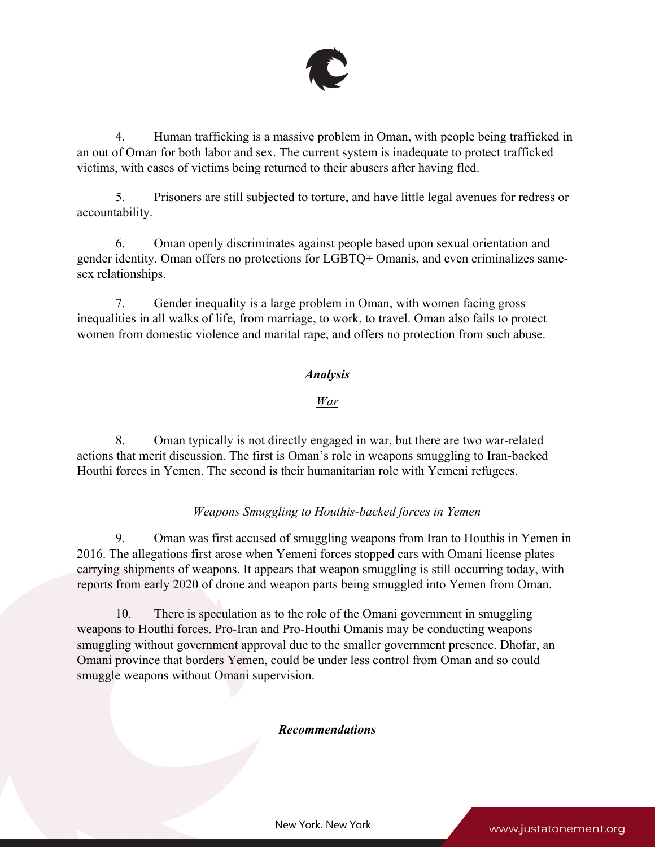

4. Human trafficking is <sup>a</sup> massive problem in Oman, with people being trafficked in an out of Oman for both labor and sex. The current system is inadequate to protect trafficked victims, with cases of victims being returned to their abusers after having fled.

5. Prisoners are still subjected to torture, and have little legal avenues for redress or accountability.

6. Oman openly discriminates against people based upon sexual orientation and gender identity. Oman offers no protections for LGBTQ+ Omanis, and even criminalizes samesex relationships.

7. Gender inequality is <sup>a</sup> large problem in Oman, with women facing gross inequalities in all walks of life, from marriage, to work, to travel. Oman also fails to protect women from domestic violence and marital rape, and offers no protection from such abuse.

# *Analysis*

## *War*

8. Oman typically is not directly engaged in war, but there are two war-related actions that merit discussion. The first is Oman'<sup>s</sup> role in weapons smuggling to Iran-backed Houthi forces in Yemen. The second is their humanitarian role with Yemeni refugees.

## *Weapons Smuggling to Houthis-backed forces in Yemen*

9. Oman was first accused of smuggling weapons from Iran to Houthis in Yemen in 2016. The allegations first arose when Yemeni forces stopped cars with Omani license plates carrying shipments of weapons. It appears that weapon smuggling is still occurring today, with reports from early 2020 of drone and weapon parts being smuggled into Yemen from Oman.

10. There is speculation as to the role of the Omani governmen<sup>t</sup> in smuggling weapons to Houthi forces. Pro-Iran and Pro-Houthi Omanis may be conducting weapons smuggling without governmen<sup>t</sup> approval due to the smaller governmen<sup>t</sup> presence. Dhofar, an Omani province that borders Yemen, could be under less control from Oman and so could smuggle weapons without Omani supervision.

### *Recommendations*

New York, New York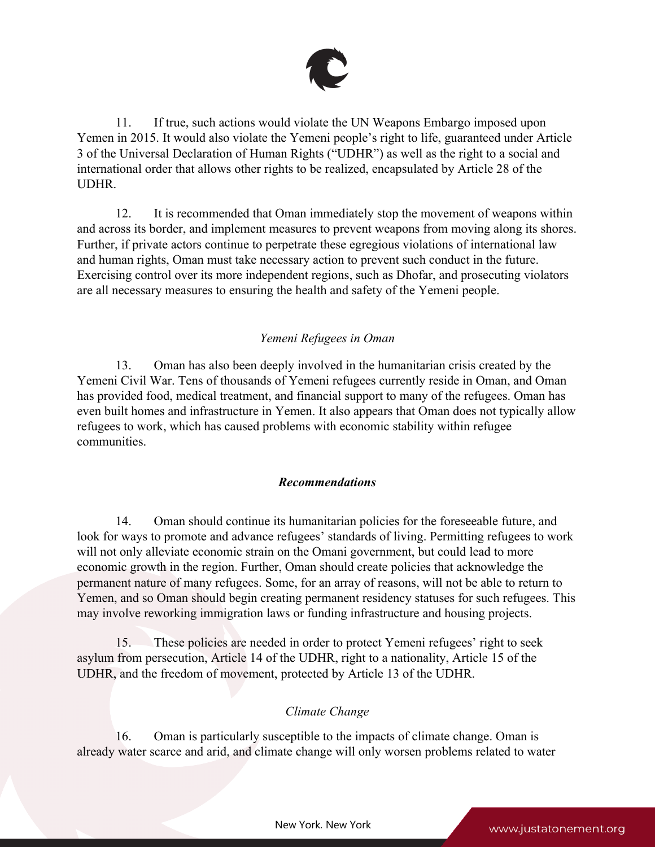

11. If true, such actions would violate the UN Weapons Embargo imposed upon Yemen in 2015. It would also violate the Yemeni people'<sup>s</sup> right to life, guaranteed under Article 3 of the Universal Declaration of Human Rights ("UDHR") as well as the right to <sup>a</sup> social and international order that allows other rights to be realized, encapsulated by Article 28 of the UDHR.

12. It is recommended that Oman immediately stop the movement of weapons within and across its border, and implement measures to preven<sup>t</sup> weapons from moving along its shores. Further, if private actors continue to perpetrate these egregious violations of international law and human rights, Oman must take necessary action to preven<sup>t</sup> such conduct in the future. Exercising control over its more independent regions, such as Dhofar, and prosecuting violators are all necessary measures to ensuring the health and safety of the Yemeni people.

## *Yemeni Refugees in Oman*

13. Oman has also been deeply involved in the humanitarian crisis created by the Yemeni Civil War. Tens of thousands of Yemeni refugees currently reside in Oman, and Oman has provided food, medical treatment, and financial suppor<sup>t</sup> to many of the refugees. Oman has even built homes and infrastructure in Yemen. It also appears that Oman does not typically allow refugees to work, which has caused problems with economic stability within refugee communities.

## *Recommendations*

14. Oman should continue its humanitarian policies for the foreseeable future, and look for ways to promote and advance refugees' standards of living. Permitting refugees to work will not only alleviate economic strain on the Omani government, but could lead to more economic growth in the region. Further, Oman should create policies that acknowledge the permanen<sup>t</sup> nature of many refugees. Some, for an array of reasons, will not be able to return to Yemen, and so Oman should begin creating permanen<sup>t</sup> residency statuses for such refugees. This may involve reworking immigration laws or funding infrastructure and housing projects.

15. These policies are needed in order to protect Yemeni refugees' right to seek asylum from persecution, Article 14 of the UDHR, right to <sup>a</sup> nationality, Article 15 of the UDHR, and the freedom of movement, protected by Article 13 of the UDHR.

### *Climate Change*

16. Oman is particularly susceptible to the impacts of climate change. Oman is already water scarce and arid, and climate change will only worsen problems related to water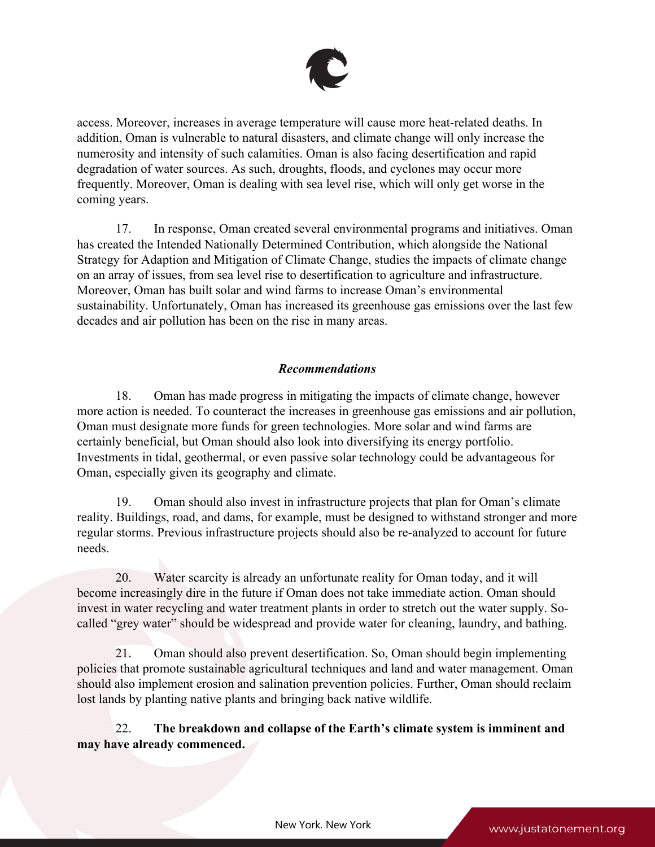

access. Moreover, increases in average temperature will cause more heat-related deaths. In addition, Oman is vulnerable to natural disasters, and climate change will only increase the numerosity and intensity of such calamities. Oman is also facing desertification and rapid degradation of water sources. As such, droughts, floods, and cyclones may occur more frequently. Moreover, Oman is dealing with sea level rise, which will only ge<sup>t</sup> worse in the coming years.

17. In response, Oman created several environmental programs and initiatives. Oman has created the Intended Nationally Determined Contribution, which alongside the National Strategy for Adaption and Mitigation of Climate Change, studies the impacts of climate change on an array of issues, from sea level rise to desertification to agriculture and infrastructure. Moreover, Oman has built solar and wind farms to increase Oman'<sup>s</sup> environmental sustainability. Unfortunately, Oman has increased its greenhouse gas emissions over the last few decades and air pollution has been on the rise in many areas.

## *Recommendations*

18. Oman has made progress in mitigating the impacts of climate change, however more action is needed. To counteract the increases in greenhouse gas emissions and air pollution, Oman must designate more funds for green technologies. More solar and wind farms are certainly beneficial, but Oman should also look into diversifying its energy portfolio. Investments in tidal, geothermal, or even passive solar technology could be advantageous for Oman, especially given its geography and climate.

19. Oman should also invest in infrastructure projects that plan for Oman'<sup>s</sup> climate reality. Buildings, road, and dams, for example, must be designed to withstand stronger and more regular storms. Previous infrastructure projects should also be re-analyzed to account for future needs.

20. Water scarcity is already an unfortunate reality for Oman today, and it will become increasingly dire in the future if Oman does not take immediate action. Oman should invest in water recycling and water treatment plants in order to stretch out the water supply. Socalled "grey water" should be widespread and provide water for cleaning, laundry, and bathing.

21. Oman should also preven<sup>t</sup> desertification. So, Oman should begin implementing policies that promote sustainable agricultural techniques and land and water management. Oman should also implement erosion and salination prevention policies. Further, Oman should reclaim lost lands by planting native plants and bringing back native wildlife.

22. **The breakdown and collapse of the Earth'<sup>s</sup> climate system is imminent and may have already commenced.**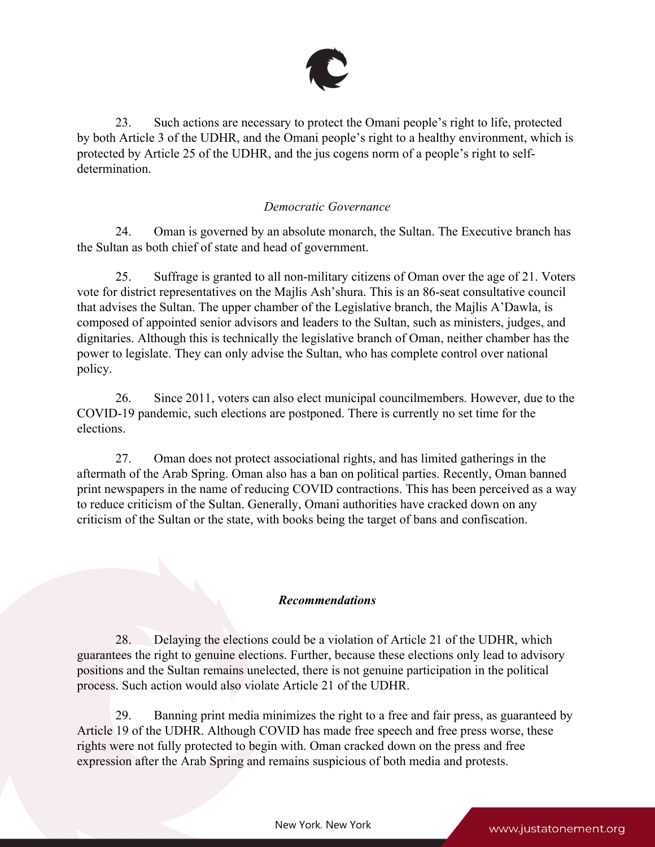

23. Such actions are necessary to protect the Omani people'<sup>s</sup> right to life, protected by both Article 3 of the UDHR, and the Omani people'<sup>s</sup> right to <sup>a</sup> healthy environment, which is protected by Article 25 of the UDHR, and the jus cogens norm of <sup>a</sup> people'<sup>s</sup> right to selfdetermination.

### *Democratic Governance*

24. Oman is governed by an absolute monarch, the Sultan. The Executive branch has the Sultan as both chief of state and head of government.

25. Suffrage is granted to all non-military citizens of Oman over the age of 21. Voters vote for district representatives on the Majlis Ash'shura. This is an 86-seat consultative council that advises the Sultan. The upper chamber of the Legislative branch, the Majlis A'Dawla, is composed of appointed senior advisors and leaders to the Sultan, such as ministers, judges, and dignitaries. Although this is technically the legislative branch of Oman, neither chamber has the power to legislate. They can only advise the Sultan, who has complete control over national policy.

26. Since 2011, voters can also elect municipal councilmembers. However, due to the COVID-19 pandemic, such elections are postponed. There is currently no set time for the elections.

27. Oman does not protect associational rights, and has limited gatherings in the aftermath of the Arab Spring. Oman also has <sup>a</sup> ban on political parties. Recently, Oman banned print newspapers in the name of reducing COVID contractions. This has been perceived as <sup>a</sup> way to reduce criticism of the Sultan. Generally, Omani authorities have cracked down on any criticism of the Sultan or the state, with books being the target of bans and confiscation.

### *Recommendations*

28. Delaying the elections could be <sup>a</sup> violation of Article 21 of the UDHR, which guarantees the right to genuine elections. Further, because these elections only lead to advisory positions and the Sultan remains unelected, there is not genuine participation in the political process. Such action would also violate Article 21 of the UDHR.

29. Banning print media minimizes the right to <sup>a</sup> free and fair press, as guaranteed by Article 19 of the UDHR. Although COVID has made free speech and free press worse, these rights were not fully protected to begin with. Oman cracked down on the press and free expression after the Arab Spring and remains suspicious of both media and protests.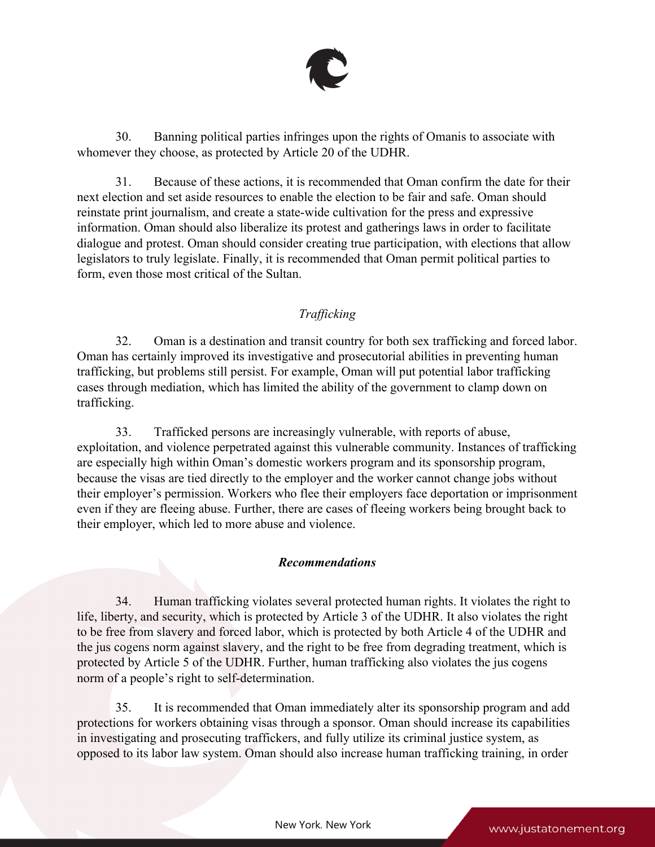

30. Banning political parties infringes upon the rights of Omanis to associate with whomever they choose, as protected by Article 20 of the UDHR.

31. Because of these actions, it is recommended that Oman confirm the date for their next election and set aside resources to enable the election to be fair and safe. Oman should reinstate print journalism, and create <sup>a</sup> state-wide cultivation for the press and expressive information. Oman should also liberalize its protest and gatherings laws in order to facilitate dialogue and protest. Oman should consider creating true participation, with elections that allow legislators to truly legislate. Finally, it is recommended that Oman permit political parties to form, even those most critical of the Sultan.

# *Trafficking*

32. Oman is <sup>a</sup> destination and transit country for both sex trafficking and forced labor. Oman has certainly improved its investigative and prosecutorial abilities in preventing human trafficking, but problems still persist. For example, Oman will pu<sup>t</sup> potential labor trafficking cases through mediation, which has limited the ability of the governmen<sup>t</sup> to clamp down on trafficking.

33. Trafficked persons are increasingly vulnerable, with reports of abuse, exploitation, and violence perpetrated against this vulnerable community. Instances of trafficking are especially high within Oman'<sup>s</sup> domestic workers program and its sponsorship program, because the visas are tied directly to the employer and the worker cannot change jobs without their employer'<sup>s</sup> permission. Workers who flee their employers face deportation or imprisonment even if they are fleeing abuse. Further, there are cases of fleeing workers being brought back to their employer, which led to more abuse and violence.

## *Recommendations*

34. Human trafficking violates several protected human rights. It violates the right to life, liberty, and security, which is protected by Article 3 of the UDHR. It also violates the right to be free from slavery and forced labor, which is protected by both Article 4 of the UDHR and the jus cogens norm against slavery, and the right to be free from degrading treatment, which is protected by Article 5 of the UDHR. Further, human trafficking also violates the jus cogens norm of <sup>a</sup> people'<sup>s</sup> right to self-determination.

35. It is recommended that Oman immediately alter its sponsorship program and add protections for workers obtaining visas through <sup>a</sup> sponsor. Oman should increase its capabilities in investigating and prosecuting traffickers, and fully utilize its criminal justice system, as opposed to its labor law system. Oman should also increase human trafficking training, in order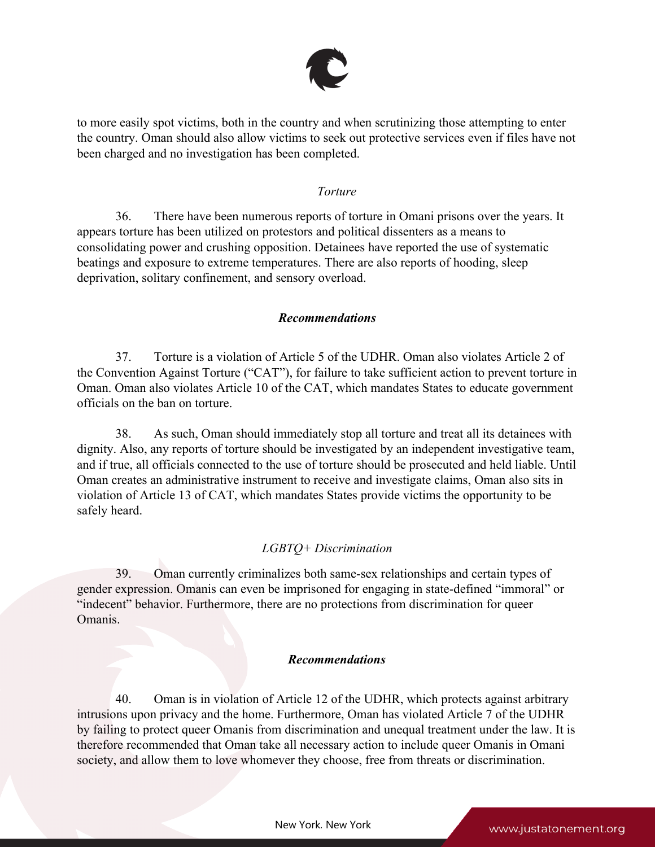

to more easily spo<sup>t</sup> victims, both in the country and when scrutinizing those attempting to enter the country. Oman should also allow victims to seek out protective services even if files have not been charged and no investigation has been completed.

### *Torture*

36. There have been numerous reports of torture in Omani prisons over the years. It appears torture has been utilized on protestors and political dissenters as <sup>a</sup> means to consolidating power and crushing opposition. Detainees have reported the use of systematic beatings and exposure to extreme temperatures. There are also reports of hooding, sleep deprivation, solitary confinement, and sensory overload.

## *Recommendations*

37. Torture is <sup>a</sup> violation of Article 5 of the UDHR. Oman also violates Article 2 of the Convention Against Torture ("CAT"), for failure to take sufficient action to preven<sup>t</sup> torture in Oman. Oman also violates Article 10 of the CAT, which mandates States to educate governmen<sup>t</sup> officials on the ban on torture.

38. As such, Oman should immediately stop all torture and treat all its detainees with dignity. Also, any reports of torture should be investigated by an independent investigative team, and if true, all officials connected to the use of torture should be prosecuted and held liable. Until Oman creates an administrative instrument to receive and investigate claims, Oman also sits in violation of Article 13 of CAT, which mandates States provide victims the opportunity to be safely heard.

# *LGBTQ+ Discrimination*

39. Oman currently criminalizes both same-sex relationships and certain types of gender expression. Omanis can even be imprisoned for engaging in state-defined "immoral" or "indecent" behavior. Furthermore, there are no protections from discrimination for queer Omanis.

## *Recommendations*

40. Oman is in violation of Article 12 of the UDHR, which protects against arbitrary intrusions upon privacy and the home. Furthermore, Oman has violated Article 7 of the UDHR by failing to protect queer Omanis from discrimination and unequal treatment under the law. It is therefore recommended that Oman take all necessary action to include queer Omanis in Omani society, and allow them to love whomever they choose, free from threats or discrimination.